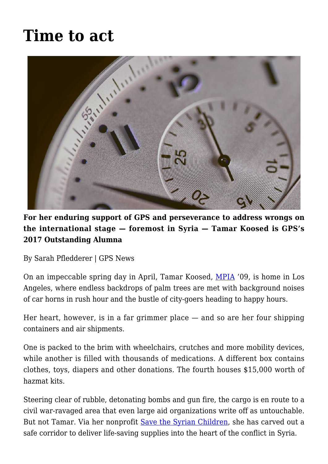# **[Time to act](https://gpsnews.ucsd.edu/time-to-act/)**



**For her enduring support of GPS and perseverance to address wrongs on the international stage — foremost in Syria — Tamar Koosed is GPS's 2017 Outstanding Alumna**

By Sarah Pfledderer | GPS News

On an impeccable spring day in April, Tamar Koosed, [MPIA](https://gps.ucsd.edu/academics/mia.html) '09, is home in Los Angeles, where endless backdrops of palm trees are met with background noises of car horns in rush hour and the bustle of city-goers heading to happy hours.

Her heart, however, is in a far grimmer place — and so are her four shipping containers and air shipments.

One is packed to the brim with wheelchairs, crutches and more mobility devices, while another is filled with thousands of medications. A different box contains clothes, toys, diapers and other donations. The fourth houses \$15,000 worth of hazmat kits.

Steering clear of rubble, detonating bombs and gun fire, the cargo is en route to a civil war-ravaged area that even large aid organizations write off as untouchable. But not Tamar. Via her nonprofit [Save the Syrian Children,](https://savethesyrianchildren.org/) she has carved out a safe corridor to deliver life-saving supplies into the heart of the conflict in Syria.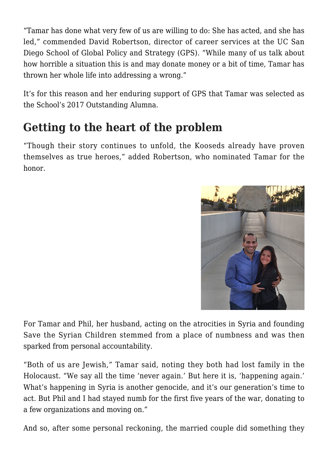"Tamar has done what very few of us are willing to do: She has acted, and she has led," commended David Robertson, director of career services at the UC San Diego School of Global Policy and Strategy (GPS). "While many of us talk about how horrible a situation this is and may donate money or a bit of time, Tamar has thrown her whole life into addressing a wrong."

It's for this reason and her enduring support of GPS that Tamar was selected as the School's 2017 Outstanding Alumna.

#### **Getting to the heart of the problem**

"Though their story continues to unfold, the Kooseds already have proven themselves as true heroes," added Robertson, who nominated Tamar for the honor.



For Tamar and Phil, her husband, acting on the atrocities in Syria and founding Save the Syrian Children stemmed from a place of numbness and was then sparked from personal accountability.

"Both of us are Jewish," Tamar said, noting they both had lost family in the Holocaust. "We say all the time 'never again.' But here it is, 'happening again.' What's happening in Syria is another genocide, and it's our generation's time to act. But Phil and I had stayed numb for the first five years of the war, donating to a few organizations and moving on."

And so, after some personal reckoning, the married couple did something they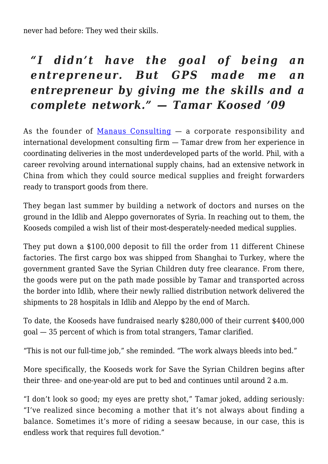never had before: They wed their skills.

## *"I didn't have the goal of being an entrepreneur. But GPS made me an entrepreneur by giving me the skills and a complete network." — Tamar Koosed '09*

As the founder of [Manaus Consulting](http://www.manausconsulting.com/)  $-$  a corporate responsibility and international development consulting firm — Tamar drew from her experience in coordinating deliveries in the most underdeveloped parts of the world. Phil, with a career revolving around international supply chains, had an extensive network in China from which they could source medical supplies and freight forwarders ready to transport goods from there.

They began last summer by building a network of doctors and nurses on the ground in the Idlib and Aleppo governorates of Syria. In reaching out to them, the Kooseds compiled a wish list of their most-desperately-needed medical supplies.

They put down a \$100,000 deposit to fill the order from 11 different Chinese factories. The first cargo box was shipped from Shanghai to Turkey, where the government granted Save the Syrian Children duty free clearance. From there, the goods were put on the path made possible by Tamar and transported across the border into Idlib, where their newly rallied distribution network delivered the shipments to 28 hospitals in Idlib and Aleppo by the end of March.

To date, the Kooseds have fundraised nearly \$280,000 of their current \$400,000 goal — 35 percent of which is from total strangers, Tamar clarified.

"This is not our full-time job," she reminded. "The work always bleeds into bed."

More specifically, the Kooseds work for Save the Syrian Children begins after their three- and one-year-old are put to bed and continues until around 2 a.m.

"I don't look so good; my eyes are pretty shot," Tamar joked, adding seriously: "I've realized since becoming a mother that it's not always about finding a balance. Sometimes it's more of riding a seesaw because, in our case, this is endless work that requires full devotion."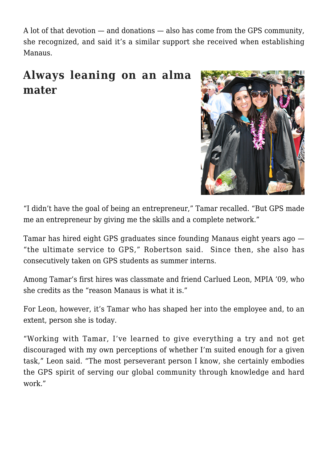A lot of that devotion — and donations — also has come from the GPS community, she recognized, and said it's a similar support she received when establishing Manaus.

#### **Always leaning on an alma mater**



"I didn't have the goal of being an entrepreneur," Tamar recalled. "But GPS made me an entrepreneur by giving me the skills and a complete network."

Tamar has hired eight GPS graduates since founding Manaus eight years ago — "the ultimate service to GPS," Robertson said. Since then, she also has consecutively taken on GPS students as summer interns.

Among Tamar's first hires was classmate and friend Carlued Leon, MPIA '09, who she credits as the "reason Manaus is what it is."

For Leon, however, it's Tamar who has shaped her into the employee and, to an extent, person she is today.

"Working with Tamar, I've learned to give everything a try and not get discouraged with my own perceptions of whether I'm suited enough for a given task," Leon said. "The most perseverant person I know, she certainly embodies the GPS spirit of serving our global community through knowledge and hard work."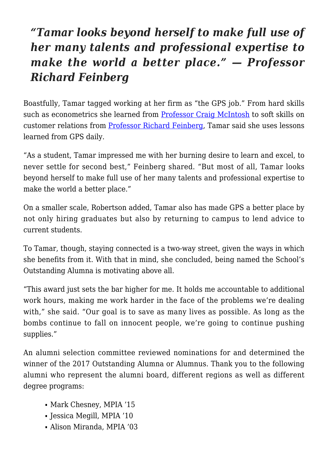## *"Tamar looks beyond herself to make full use of her many talents and professional expertise to make the world a better place." — Professor Richard Feinberg*

Boastfully, Tamar tagged working at her firm as "the GPS job." From hard skills such as econometrics she learned from [Professor Craig McIntosh](https://gps.ucsd.edu/faculty-directory/craig-mcintosh.html) to soft skills on customer relations from [Professor Richard Feinberg,](https://gps.ucsd.edu/faculty-directory/richard-feinberg.html) Tamar said she uses lessons learned from GPS daily.

"As a student, Tamar impressed me with her burning desire to learn and excel, to never settle for second best," Feinberg shared. "But most of all, Tamar looks beyond herself to make full use of her many talents and professional expertise to make the world a better place."

On a smaller scale, Robertson added, Tamar also has made GPS a better place by not only hiring graduates but also by returning to campus to lend advice to current students.

To Tamar, though, staying connected is a two-way street, given the ways in which she benefits from it. With that in mind, she concluded, being named the School's Outstanding Alumna is motivating above all.

"This award just sets the bar higher for me. It holds me accountable to additional work hours, making me work harder in the face of the problems we're dealing with," she said. "Our goal is to save as many lives as possible. As long as the bombs continue to fall on innocent people, we're going to continue pushing supplies."

An alumni selection committee reviewed nominations for and determined the winner of the 2017 Outstanding Alumna or Alumnus. Thank you to the following alumni who represent the alumni board, different regions as well as different degree programs:

- Mark Chesney, MPIA '15
- Jessica Megill, MPIA '10
- Alison Miranda, MPIA '03